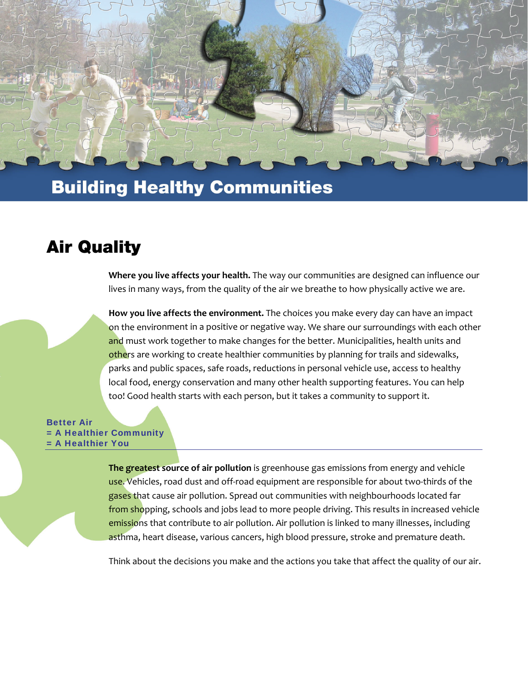

# **Building Healthy Communities**

### **Air Quality**

**Where you live affects your health.** The way our communities are designed can influence our lives in many ways, from the quality of the air we breathe to how physically active we are.

**How you live affects the environment.** The choices you make every day can have an impact on the environment in a positive or negative way. We share our surroundings with each other and must work together to make changes for the better. Municipalities, health units and others are working to create healthier communities by planning for trails and sidewalks, parks and public spaces, safe roads, reductions in personal vehicle use, access to healthy local food, energy conservation and many other health supporting features. You can help too! Good health starts with each person, but it takes a community to support it.

Better Air = A Healthier Community = A Healthier You

> **The greatest source of air pollution** is greenhouse gas emissions from energy and vehicle use. Vehicles, road dust and off-road equipment are responsible for about two-thirds of the gases that cause air pollution. Spread out communities with neighbourhoods located far from shopping, schools and jobs lead to more people driving. This results in increased vehicle emissions that contribute to air pollution. Air pollution is linked to many illnesses, including asthma, heart disease, various cancers, high blood pressure, stroke and premature death.

> Think about the decisions you make and the actions you take that affect the quality of our air.